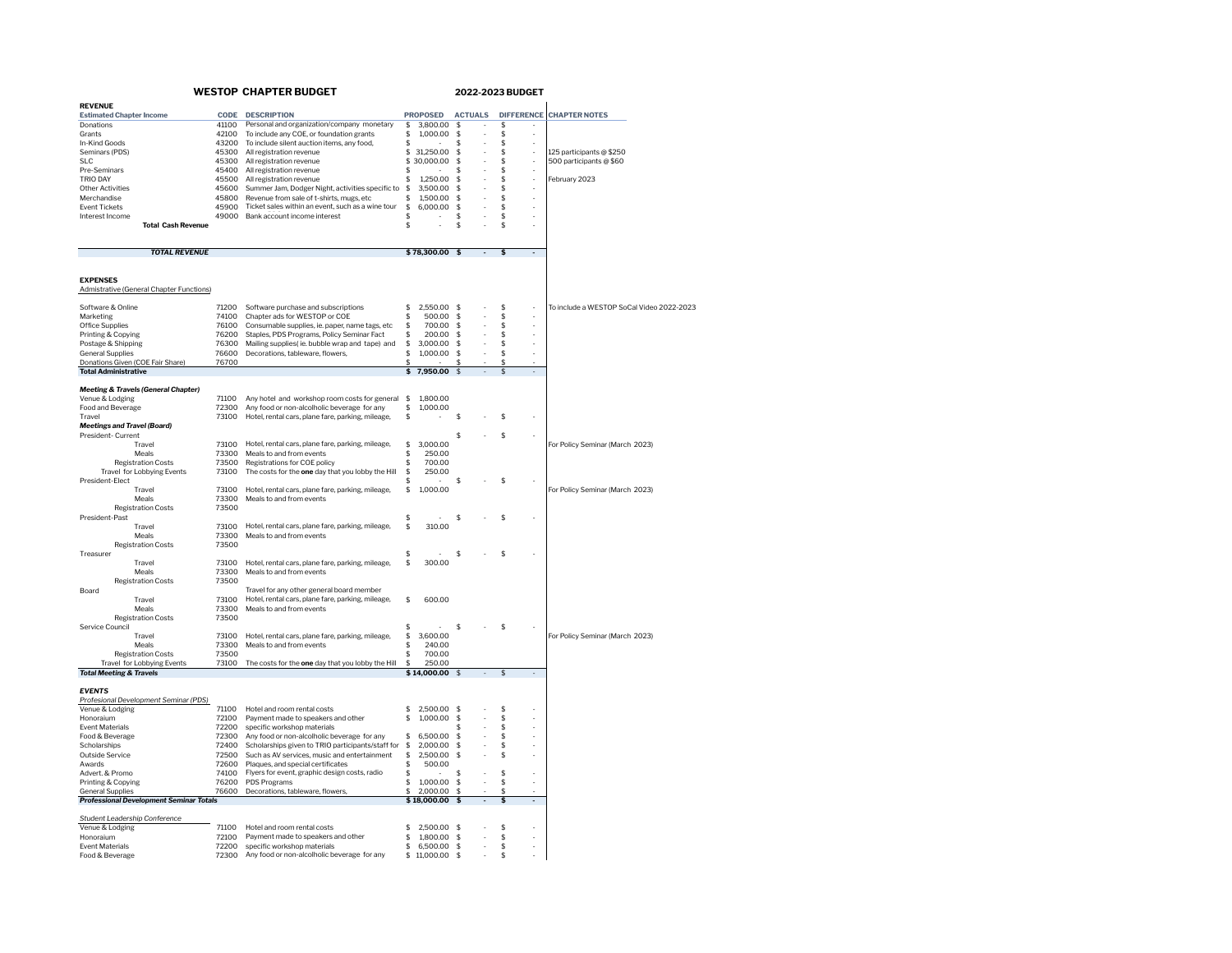| <b>WESTOP CHAPTER BUDGET</b>                                     |                |                                                                                              | <b>2022-2023 BUDGET</b> |                  |                          |                |                |                          |                                           |
|------------------------------------------------------------------|----------------|----------------------------------------------------------------------------------------------|-------------------------|------------------|--------------------------|----------------|----------------|--------------------------|-------------------------------------------|
| <b>REVENUE</b>                                                   |                |                                                                                              |                         |                  |                          |                |                |                          |                                           |
| <b>Estimated Chapter Income</b>                                  | CODE           | <b>DESCRIPTION</b>                                                                           |                         | <b>PROPOSED</b>  |                          | <b>ACTUALS</b> |                |                          | DIFFERENCE CHAPTER NOTES                  |
| Donations                                                        | 41100          | Personal and organization/company monetary                                                   | \$                      | 3,800,00         | \$                       |                | \$             |                          |                                           |
| Grants                                                           | 42100          | To include any COE, or foundation grants                                                     | \$                      | 1,000.00         | $\mathbf{\hat{s}}$       |                | \$             | ł.                       |                                           |
| In-Kind Goods                                                    | 43200          | To include silent auction items, any food,                                                   | \$                      |                  | \$                       | ł,             | \$             | ×,                       |                                           |
| Seminars (PDS)<br><b>SLC</b>                                     | 45300          | All registration revenue                                                                     | \$                      | 31,250.00        | \$<br>\$                 |                | \$<br>\$       | ł.                       | 125 participants @ \$250                  |
| Pre-Seminars                                                     | 45300<br>45400 | All registration revenue<br>All registration revenue                                         | \$<br>\$                | 30,000.00        | \$                       |                | \$             |                          | 500 participants @ \$60                   |
| <b>TRIO DAY</b>                                                  | 45500          | All registration revenue                                                                     | \$                      | 1.250.00         | \$                       |                | \$             | $\overline{\phantom{a}}$ | February 2023                             |
| <b>Other Activities</b>                                          | 45600          | Summer Jam, Dodger Night, activities specific to                                             | \$                      | 3,500.00         | \$                       |                | \$             |                          |                                           |
| Merchandise                                                      | 45800          | Revenue from sale of t-shirts, mugs, etc                                                     | \$                      | 1,500.00         | \$                       |                | \$             |                          |                                           |
| <b>Event Tickets</b>                                             | 45900          | Ticket sales within an event, such as a wine tour                                            | \$                      | 6,000.00         | \$                       |                | \$             |                          |                                           |
| Interest Income                                                  | 49000          | Bank account income interest                                                                 | ፍ                       |                  | \$.                      |                | \$             | ×,                       |                                           |
| <b>Total Cash Revenue</b>                                        |                |                                                                                              | \$                      |                  | \$.                      |                | \$             |                          |                                           |
|                                                                  |                |                                                                                              |                         |                  |                          |                |                |                          |                                           |
| <b>TOTAL REVENUE</b>                                             |                |                                                                                              |                         | \$78,300.00 \$   |                          | $\sim$         | \$             | $\sim$                   |                                           |
|                                                                  |                |                                                                                              |                         |                  |                          |                |                |                          |                                           |
| <b>EXPENSES</b><br>Admistrative (General Chapter Functions)      |                |                                                                                              |                         |                  |                          |                |                |                          |                                           |
|                                                                  |                |                                                                                              |                         |                  |                          |                |                |                          |                                           |
| Software & Online                                                | 71200          | Software purchase and subscriptions                                                          | \$                      | 2,550.00         | -S                       |                | \$             |                          | To include a WESTOP SoCal Video 2022-2023 |
| Marketing                                                        | 74100          | Chapter ads for WESTOP or COE                                                                | \$                      | 500.00           | -S                       |                | \$             |                          |                                           |
| Office Supplies                                                  | 76100<br>76200 | Consumable supplies, ie. paper, name tags, etc                                               | \$<br>ፍ                 | 700.00<br>200.00 | -S<br>$\hat{\mathbf{z}}$ |                | \$<br>ፍ        | J.                       |                                           |
| Printing & Copying<br>Postage & Shipping                         | 76300          | Staples, PDS Programs, Policy Seminar Fact<br>Mailing supplies(ie. bubble wrap and tape) and | \$                      | 3,000.00         | $\mathbf{\hat{s}}$       |                | \$             |                          |                                           |
|                                                                  |                |                                                                                              | \$                      |                  | $\mathbf{\hat{s}}$       |                | \$             |                          |                                           |
| <b>General Supplies</b><br>Donations Given (COE Fair Share)      | 76600<br>76700 | Decorations, tableware, flowers,                                                             |                         | 1,000.00         |                          |                | \$             |                          |                                           |
| <b>Total Administrative</b>                                      |                |                                                                                              | $\overline{\mathsf{s}}$ | 7.950.00         | $\mathsf{s}$             |                | \$             | $\overline{\phantom{a}}$ |                                           |
|                                                                  |                |                                                                                              |                         |                  |                          |                |                |                          |                                           |
| <b>Meeting &amp; Travels (General Chapter)</b>                   |                |                                                                                              |                         |                  |                          |                |                |                          |                                           |
| Venue & Lodging                                                  | 71100          | Any hotel and workshop room costs for general                                                | $\mathfrak{S}$          | 1,800.00         |                          |                |                |                          |                                           |
| Food and Beverage                                                | 72300          | Any food or non-alcolholic beverage for any                                                  | \$                      | 1,000.00         |                          |                |                |                          |                                           |
| Travel                                                           | 73100          | Hotel, rental cars, plane fare, parking, mileage,                                            | \$                      |                  | \$                       |                | \$             |                          |                                           |
| <b>Meetings and Travel (Board)</b>                               |                |                                                                                              |                         |                  |                          |                |                |                          |                                           |
| President- Current                                               |                |                                                                                              |                         |                  | Ś                        |                | \$             |                          |                                           |
| Travel                                                           | 73100          | Hotel, rental cars, plane fare, parking, mileage,                                            | \$                      | 3,000.00         |                          |                |                |                          | For Policy Seminar (March 2023)           |
| Meals                                                            | 73300          | Meals to and from events                                                                     | \$                      | 250.00           |                          |                |                |                          |                                           |
| <b>Registration Costs</b>                                        | 73500          | Registrations for COE policy                                                                 | \$                      | 700.00           |                          |                |                |                          |                                           |
| Travel for Lobbying Events<br>President-Elect                    | 73100          | The costs for the one day that you lobby the Hill                                            | \$<br>\$                | 250.00           |                          |                | \$             |                          |                                           |
| Travel                                                           | 73100          | Hotel, rental cars, plane fare, parking, mileage,                                            | \$                      | 1,000.00         | S                        |                |                |                          | For Policy Seminar (March 2023)           |
| Meals                                                            | 73300          | Meals to and from events                                                                     |                         |                  |                          |                |                |                          |                                           |
| <b>Registration Costs</b>                                        | 73500          |                                                                                              |                         |                  |                          |                |                |                          |                                           |
| President-Past                                                   |                |                                                                                              | \$                      |                  | \$                       |                | \$             |                          |                                           |
| Travel                                                           | 73100          | Hotel, rental cars, plane fare, parking, mileage,                                            | \$                      | 310.00           |                          |                |                |                          |                                           |
| Meals                                                            | 73300          | Meals to and from events                                                                     |                         |                  |                          |                |                |                          |                                           |
| <b>Registration Costs</b>                                        | 73500          |                                                                                              |                         |                  |                          |                |                |                          |                                           |
| Treasurer                                                        |                |                                                                                              | \$                      |                  | \$                       |                | \$             |                          |                                           |
| Travel                                                           | 73100          | Hotel, rental cars, plane fare, parking, mileage,                                            | \$                      | 300.00           |                          |                |                |                          |                                           |
| Meals                                                            | 73300          | Meals to and from events                                                                     |                         |                  |                          |                |                |                          |                                           |
| <b>Registration Costs</b>                                        | 73500          |                                                                                              |                         |                  |                          |                |                |                          |                                           |
| Board                                                            |                | Travel for any other general board member                                                    |                         |                  |                          |                |                |                          |                                           |
| Travel                                                           | 73100          | Hotel, rental cars, plane fare, parking, mileage,                                            | \$                      | 600.00           |                          |                |                |                          |                                           |
| Meals                                                            | 73300          | Meals to and from events                                                                     |                         |                  |                          |                |                |                          |                                           |
| <b>Registration Costs</b>                                        | 73500          |                                                                                              |                         |                  |                          |                |                |                          |                                           |
| Service Council                                                  |                |                                                                                              | \$                      |                  | \$                       |                | \$             |                          |                                           |
| Travel                                                           | 73100          | Hotel, rental cars, plane fare, parking, mileage,                                            | \$                      | 3,600.00         |                          |                |                |                          | For Policy Seminar (March 2023)           |
| Meals                                                            | 73300          | Meals to and from events                                                                     | \$                      | 240.00           |                          |                |                |                          |                                           |
| <b>Registration Costs</b>                                        | 73500          | The costs for the one day that you lobby the Hill                                            | \$<br>\$                | 700.00<br>250.00 |                          |                |                |                          |                                           |
| Travel for Lobbying Events<br><b>Total Meeting &amp; Travels</b> | 73100          |                                                                                              |                         | \$14,000.00      | $\mathsf{s}$             |                | $\mathfrak{L}$ |                          |                                           |
|                                                                  |                |                                                                                              |                         |                  |                          |                |                |                          |                                           |
| <b>EVENTS</b>                                                    |                |                                                                                              |                         |                  |                          |                |                |                          |                                           |
| Profesional Development Seminar (PDS)                            |                |                                                                                              |                         |                  |                          |                |                |                          |                                           |
| Venue & Lodging                                                  | 71100          | Hotel and room rental costs                                                                  | \$                      | 2,500.00         | $\mathsf{s}$             |                | \$             |                          |                                           |
| Honoraium                                                        | 72100          | Payment made to speakers and other                                                           | \$                      | 1.000.00         | $\mathbf{\hat{s}}$       |                | \$             |                          |                                           |
| <b>Event Materials</b>                                           | 72200          | specific workshop materials                                                                  |                         |                  | S                        |                | \$             |                          |                                           |
| Food & Beverage                                                  | 72300          | Any food or non-alcolholic beverage for any                                                  | \$                      | 6,500.00         | \$                       |                | \$             |                          |                                           |
| Scholarships                                                     | 72400          | Scholarships given to TRIO participants/staff for                                            | \$                      | 2,000.00         | -\$                      |                | \$             |                          |                                           |
| Outside Service<br>Awards                                        | 72500          | Such as AV services, music and entertainment                                                 | \$<br>\$                | 2,500.00         | \$.                      |                | \$             |                          |                                           |
| Advert. & Promo                                                  | 72600<br>74100 | Plaques, and special certificates<br>Flyers for event, graphic design costs, radio           | \$                      | 500.00           |                          |                | \$             |                          |                                           |
|                                                                  | 76200          |                                                                                              | \$                      | 1.000.00         | -S                       |                | \$             | í,                       |                                           |
| Printing & Copying<br><b>General Supplies</b>                    | 76600          | PDS Programs<br>Decorations, tableware, flowers                                              |                         | 2,000.00         |                          |                |                |                          |                                           |
| <b>Professional Development Seminar Totals</b>                   |                |                                                                                              |                         | \$18,000.00      | \$                       |                |                | k.                       |                                           |
|                                                                  |                |                                                                                              |                         |                  |                          |                |                |                          |                                           |
| Student Leadership Conference                                    |                |                                                                                              |                         |                  |                          |                |                |                          |                                           |
| Venue & Lodging                                                  | 71100          | Hotel and room rental costs                                                                  | \$                      | 2,500.00 \$      |                          |                | \$             |                          |                                           |
| Honoraium                                                        | 72100          | Payment made to speakers and other                                                           | \$                      | 1,800.00         | $\mathbf{\hat{S}}$       |                | \$             |                          |                                           |
| <b>Event Materials</b>                                           | 72200          | specific workshop materials                                                                  | \$                      | 6,500.00         | \$                       |                | \$             |                          |                                           |
| Food & Beverage                                                  | 72300          | Any food or non-alcolholic beverage for any                                                  | \$                      | 11,000.00        | $\mathbf{\hat{s}}$       |                | \$             |                          |                                           |
|                                                                  |                |                                                                                              |                         |                  |                          |                |                |                          |                                           |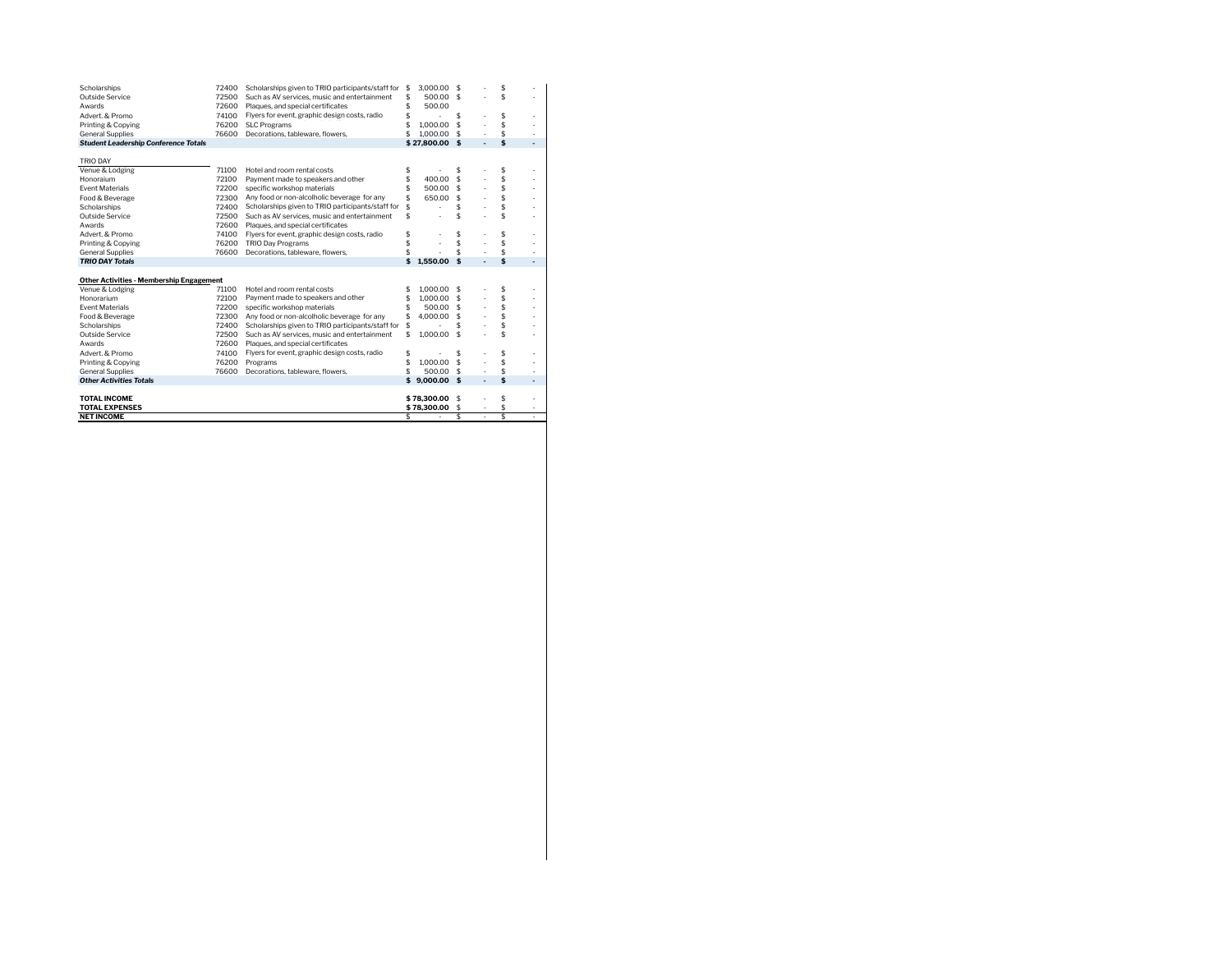| Scholarships<br>Outside Service<br>Awards                              | 72400<br>72500 | Scholarships given to TRIO participants/staff for<br>Such as AV services, music and entertainment | \$<br>\$<br>\$ | 3,000.00 \$<br>500.00 \$   |    |    | \$<br>\$ | ٠<br>٠ |
|------------------------------------------------------------------------|----------------|---------------------------------------------------------------------------------------------------|----------------|----------------------------|----|----|----------|--------|
| Advert, & Promo                                                        | 72600<br>74100 | Plaques, and special certificates<br>Flyers for event, graphic design costs, radio                |                | 500.00                     |    |    | \$       |        |
|                                                                        | 76200          |                                                                                                   |                |                            | \$ | ä, | \$       | ٠      |
| Printing & Copying                                                     |                | \$<br><b>SLC Programs</b><br>\$                                                                   |                | 1,000.00                   | \$ |    | \$       | ٠      |
| <b>General Supplies</b><br><b>Student Leadership Conference Totals</b> | 76600          | Decorations, tableware, flowers,                                                                  |                | 1,000.00<br>\$27.800.00 \$ | £. | ä, | \$       | ٠      |
|                                                                        |                |                                                                                                   |                |                            |    | ٠  |          | ٠      |
| <b>TRIO DAY</b>                                                        |                |                                                                                                   |                |                            |    |    |          |        |
| Venue & Lodging                                                        | 71100          | Hotel and room rental costs                                                                       | \$             |                            | \$ |    | \$       | ٠      |
| Honoraium                                                              | 72100          | Payment made to speakers and other                                                                | \$             | 400.00                     | \$ |    | \$       | ٠      |
| <b>Fvent Materials</b>                                                 | 72200          | specific workshop materials                                                                       |                | 500.00 \$                  |    |    | \$       | ٠      |
| Food & Beverage                                                        | 72300          | Any food or non-alcolholic beverage for any                                                       |                | 650.00                     | s  |    | \$       | ٠      |
| Scholarships                                                           | 72400          | Scholarships given to TRIO participants/staff for<br>\$                                           |                |                            | \$ |    | \$       | ٠      |
| Outside Service                                                        | 72500          | \$<br>Such as AV services, music and entertainment                                                |                |                            | \$ |    | \$       | ٠      |
| Awards                                                                 | 72600          | Plaques, and special certificates                                                                 |                |                            |    |    |          |        |
| Advert & Promo                                                         | 74100          | Flyers for event, graphic design costs, radio                                                     | \$             |                            | \$ |    | \$       | ٠      |
| Printing & Copying                                                     | 76200          | <b>TRIO Day Programs</b>                                                                          | \$             |                            | Ś  |    | \$       | ٠      |
| <b>General Supplies</b>                                                | 76600          | Decorations, tableware, flowers,                                                                  |                |                            | \$ |    | \$       | ٠      |
| <b>TRIO DAY Totals</b>                                                 |                |                                                                                                   | \$             | 1.550.00                   | \$ | ٠  | \$       | ٠      |
|                                                                        |                |                                                                                                   |                |                            |    |    |          |        |
| <b>Other Activities - Membership Engagement</b>                        |                |                                                                                                   |                |                            |    |    |          |        |
| Venue & Lodging                                                        | 71100          | Hotel and room rental costs                                                                       | \$             | 1,000.00 \$                |    |    | \$       | ٠      |
| Honorarium                                                             | 72100          | Payment made to speakers and other                                                                | \$             | $1.000.00$ \$              |    |    | \$       | ٠      |
| <b>Fvent Materials</b>                                                 | 72200          | specific workshop materials                                                                       | \$             | 500.00 \$                  |    |    | \$       | ٠      |
| Food & Beverage                                                        | 72300          | Any food or non-alcolholic beverage for any                                                       | \$             | 4.000.00                   | S  |    | \$       | ٠      |
| Scholarships                                                           | 72400          | Scholarships given to TRIO participants/staff for                                                 | \$             |                            | \$ |    | \$       | ٠      |
| Outside Service                                                        | 72500          | Such as AV services, music and entertainment                                                      | \$             | 1,000.00                   | \$ |    | \$       | ٠      |
| Awards                                                                 | 72600          | Plaques, and special certificates                                                                 |                |                            |    |    |          |        |
| Advert, & Promo                                                        | 74100          | Flyers for event, graphic design costs, radio                                                     | \$             |                            | \$ |    | \$       | ٠      |
| Printing & Copying                                                     | 76200          | Programs                                                                                          | \$             | 1.000.00                   | \$ |    | \$       | ٠      |
| <b>General Supplies</b>                                                | 76600          | Decorations, tableware, flowers,                                                                  | \$             | 500.00                     | -S |    | \$       | ٠      |
| <b>Other Activities Totals</b>                                         |                |                                                                                                   |                | \$9.000.00\$               |    | ä, | \$       | ٠      |
|                                                                        |                |                                                                                                   |                |                            |    |    |          |        |
| <b>TOTAL INCOME</b>                                                    |                |                                                                                                   | \$78,300.00    | S                          |    | \$ | ٠        |        |
| <b>TOTAL EXPENSES</b>                                                  |                |                                                                                                   |                | \$78,300.00                | \$ |    | \$       | ٠      |
| <b>NET INCOME</b>                                                      |                |                                                                                                   | \$             | ä,                         | \$ | ł, | \$.      |        |